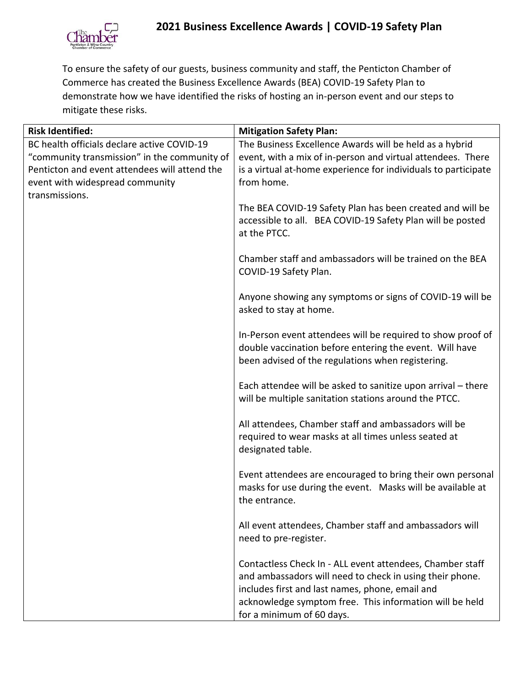

To ensure the safety of our guests, business community and staff, the Penticton Chamber of Commerce has created the Business Excellence Awards (BEA) COVID-19 Safety Plan to demonstrate how we have identified the risks of hosting an in-person event and our steps to mitigate these risks.

| <b>Risk Identified:</b>                       | <b>Mitigation Safety Plan:</b>                                                                                                                                              |
|-----------------------------------------------|-----------------------------------------------------------------------------------------------------------------------------------------------------------------------------|
| BC health officials declare active COVID-19   | The Business Excellence Awards will be held as a hybrid                                                                                                                     |
| "community transmission" in the community of  | event, with a mix of in-person and virtual attendees. There                                                                                                                 |
| Penticton and event attendees will attend the | is a virtual at-home experience for individuals to participate                                                                                                              |
| event with widespread community               | from home.                                                                                                                                                                  |
| transmissions.                                |                                                                                                                                                                             |
|                                               | The BEA COVID-19 Safety Plan has been created and will be<br>accessible to all. BEA COVID-19 Safety Plan will be posted<br>at the PTCC.                                     |
|                                               | Chamber staff and ambassadors will be trained on the BEA<br>COVID-19 Safety Plan.                                                                                           |
|                                               | Anyone showing any symptoms or signs of COVID-19 will be<br>asked to stay at home.                                                                                          |
|                                               | In-Person event attendees will be required to show proof of<br>double vaccination before entering the event. Will have<br>been advised of the regulations when registering. |
|                                               | Each attendee will be asked to sanitize upon arrival - there<br>will be multiple sanitation stations around the PTCC.                                                       |
|                                               | All attendees, Chamber staff and ambassadors will be<br>required to wear masks at all times unless seated at<br>designated table.                                           |
|                                               | Event attendees are encouraged to bring their own personal<br>masks for use during the event. Masks will be available at<br>the entrance.                                   |
|                                               | All event attendees, Chamber staff and ambassadors will<br>need to pre-register.                                                                                            |
|                                               | Contactless Check In - ALL event attendees, Chamber staff<br>and ambassadors will need to check in using their phone.                                                       |
|                                               | includes first and last names, phone, email and                                                                                                                             |
|                                               | acknowledge symptom free. This information will be held<br>for a minimum of 60 days.                                                                                        |
|                                               |                                                                                                                                                                             |